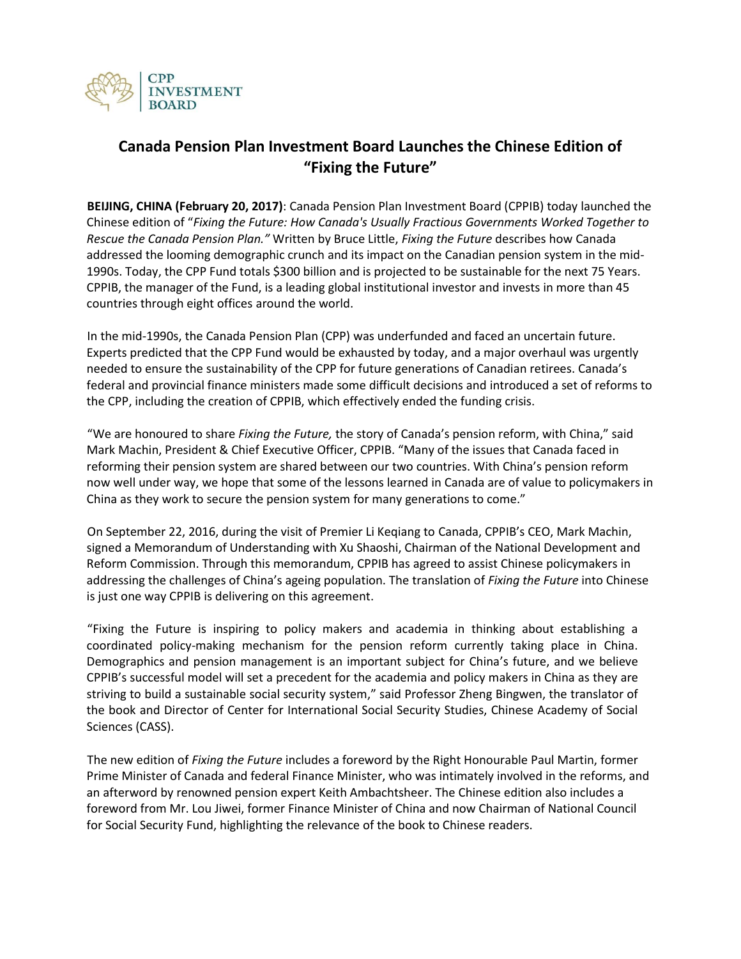

## **Canada Pension Plan Investment Board Launches the Chinese Edition of "Fixing the Future"**

**BEIJING, CHINA (February 20, 2017)**: Canada Pension Plan Investment Board (CPPIB) today launched the Chinese edition of "*Fixing the Future: How Canada's Usually Fractious Governments Worked Together to Rescue the Canada Pension Plan."* Written by Bruce Little, *Fixing the Future* describes how Canada addressed the looming demographic crunch and its impact on the Canadian pension system in the mid-1990s. Today, the CPP Fund totals \$300 billion and is projected to be sustainable for the next 75 Years. CPPIB, the manager of the Fund, is a leading global institutional investor and invests in more than 45 countries through eight offices around the world.

In the mid-1990s, the Canada Pension Plan (CPP) was underfunded and faced an uncertain future. Experts predicted that the CPP Fund would be exhausted by today, and a major overhaul was urgently needed to ensure the sustainability of the CPP for future generations of Canadian retirees. Canada's federal and provincial finance ministers made some difficult decisions and introduced a set of reforms to the CPP, including the creation of CPPIB, which effectively ended the funding crisis.

"We are honoured to share *Fixing the Future,* the story of Canada's pension reform, with China," said Mark Machin, President & Chief Executive Officer, CPPIB. "Many of the issues that Canada faced in reforming their pension system are shared between our two countries. With China's pension reform now well under way, we hope that some of the lessons learned in Canada are of value to policymakers in China as they work to secure the pension system for many generations to come."

On September 22, 2016, during the visit of Premier Li Keqiang to Canada, CPPIB's CEO, Mark Machin, signed a Memorandum of Understanding with Xu Shaoshi, Chairman of the National Development and Reform Commission. Through this memorandum, CPPIB has agreed to assist Chinese policymakers in addressing the challenges of China's ageing population. The translation of *Fixing the Future* into Chinese is just one way CPPIB is delivering on this agreement.

"Fixing the Future is inspiring to policy makers and academia in thinking about establishing a coordinated policy-making mechanism for the pension reform currently taking place in China. Demographics and pension management is an important subject for China's future, and we believe CPPIB's successful model will set a precedent for the academia and policy makers in China as they are striving to build a sustainable social security system," said Professor Zheng Bingwen, the translator of the book and Director of Center for International Social Security Studies, Chinese Academy of Social Sciences (CASS).

The new edition of *Fixing the Future* includes a foreword by the Right Honourable Paul Martin, former Prime Minister of Canada and federal Finance Minister, who was intimately involved in the reforms, and an afterword by renowned pension expert Keith Ambachtsheer. The Chinese edition also includes a foreword from Mr. Lou Jiwei, former Finance Minister of China and now Chairman of National Council for Social Security Fund, highlighting the relevance of the book to Chinese readers.